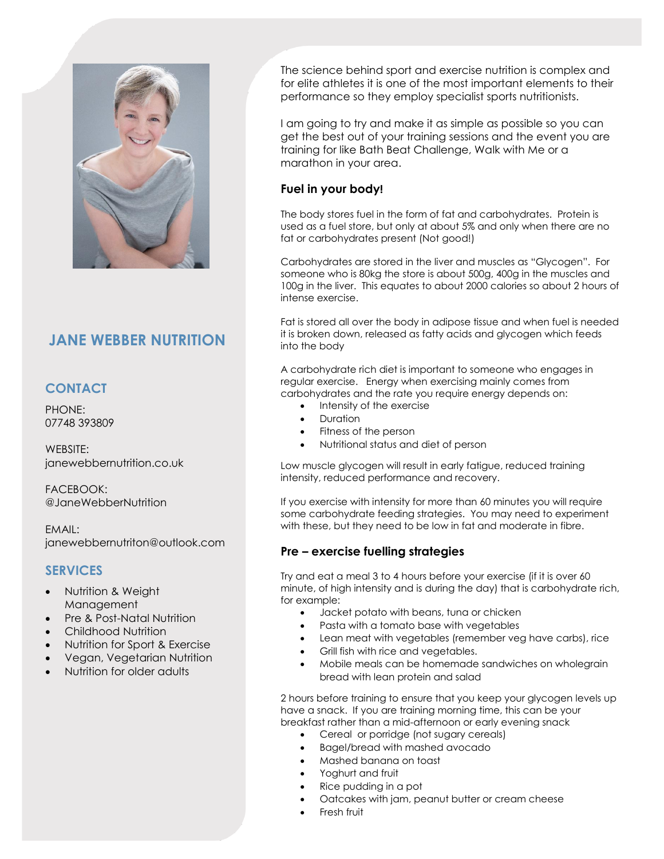

# **JANE WEBBER NUTRITION**

## **CONTACT**

PHONE: 07748 393809

WEBSITE: janewebbernutrition.co.uk

FACEBOOK: @JaneWebberNutrition

EMAIL: janewebbernutriton@outlook.com

## **SERVICES**

- Nutrition & Weight **Management**
- Pre & Post-Natal Nutrition
- Childhood Nutrition
- Nutrition for Sport & Exercise
- Vegan, Vegetarian Nutrition
- Nutrition for older adults

The science behind sport and exercise nutrition is complex and for elite athletes it is one of the most important elements to their performance so they employ specialist sports nutritionists.

I am going to try and make it as simple as possible so you can get the best out of your training sessions and the event you are training for like Bath Beat Challenge, Walk with Me or a marathon in your area.

#### **Fuel in your body!**

The body stores fuel in the form of fat and carbohydrates. Protein is used as a fuel store, but only at about 5% and only when there are no fat or carbohydrates present (Not good!)

Carbohydrates are stored in the liver and muscles as "Glycogen". For someone who is 80kg the store is about 500g, 400g in the muscles and 100g in the liver. This equates to about 2000 calories so about 2 hours of intense exercise.

Fat is stored all over the body in adipose tissue and when fuel is needed it is broken down, released as fatty acids and glycogen which feeds into the body

A carbohydrate rich diet is important to someone who engages in regular exercise. Energy when exercising mainly comes from carbohydrates and the rate you require energy depends on:

- Intensity of the exercise
- Duration
- Fitness of the person
- Nutritional status and diet of person

Low muscle glycogen will result in early fatigue, reduced training intensity, reduced performance and recovery.

If you exercise with intensity for more than 60 minutes you will require some carbohydrate feeding strategies. You may need to experiment with these, but they need to be low in fat and moderate in fibre.

#### **Pre – exercise fuelling strategies**

Try and eat a meal 3 to 4 hours before your exercise (if it is over 60 minute, of high intensity and is during the day) that is carbohydrate rich, for example:

- Jacket potato with beans, tuna or chicken
- Pasta with a tomato base with vegetables
- Lean meat with vegetables (remember veg have carbs), rice
- Grill fish with rice and vegetables.
- Mobile meals can be homemade sandwiches on wholegrain bread with lean protein and salad

2 hours before training to ensure that you keep your glycogen levels up have a snack. If you are training morning time, this can be your breakfast rather than a mid-afternoon or early evening snack

- Cereal or porridge (not sugary cereals)
- Bagel/bread with mashed avocado
- Mashed banana on toast
- Yoghurt and fruit
- Rice pudding in a pot
- Oatcakes with jam, peanut butter or cream cheese
- Fresh fruit